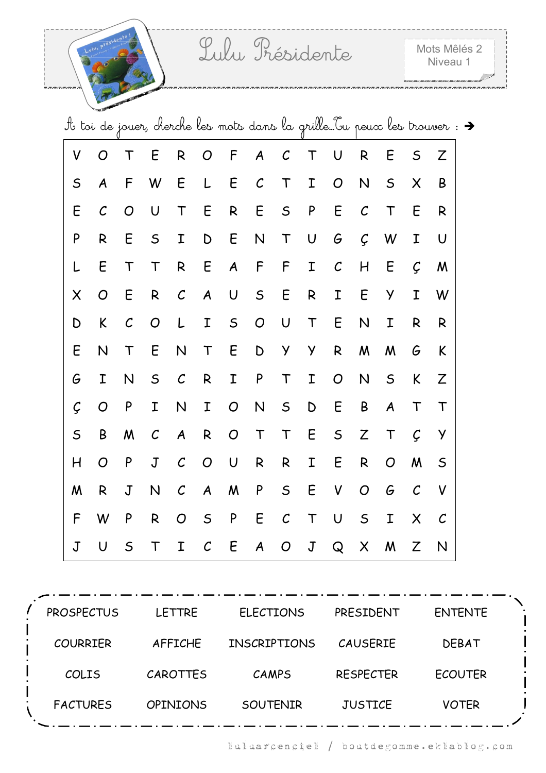ම තොතාගැන නොකොතා නොකොතා නොකොතා නොකොත

|             |                  |               |                |                  |                  |                           |                  |                |             | It toi de jouer, cherche les mots dans la grille Ou peux les trouver : $\rightarrow$ |                                                                                                               |                  |                   |              |  |
|-------------|------------------|---------------|----------------|------------------|------------------|---------------------------|------------------|----------------|-------------|--------------------------------------------------------------------------------------|---------------------------------------------------------------------------------------------------------------|------------------|-------------------|--------------|--|
| V           | O                | T             | E              | R                | O                | F                         | $\boldsymbol{A}$ | $\mathcal C$   | T           | U                                                                                    | R                                                                                                             | E                | $\mathsf S$       | Ζ            |  |
| $\mathsf S$ | $\boldsymbol{A}$ | F             | W              | E                | L                | E                         | $\mathcal{C}$    | $\mathsf T$    | I           | O                                                                                    | N                                                                                                             | $\mathsf S$      | X                 | B            |  |
| E           | $\mathcal C$     | O             | $\mathsf U$    | $\mathsf T$      | E                | ${\sf R}$                 | E                | $\mathsf S$    | ${\sf P}$   | E                                                                                    | $\cal C$                                                                                                      | $\mathsf T$      | E                 | R            |  |
| P           | R                | E             | $\mathsf S$    | I                | D                | E                         | N                | $\mathsf T$    | U           | G                                                                                    | Ç                                                                                                             | W                | I                 | U            |  |
| L           | E                | $\mathsf T$   | $\mathsf T$    | $\mathsf{R}$     | E                | $\boldsymbol{A}$          | $\mathsf F$      | F              | I           | $\mathcal C$                                                                         | H                                                                                                             | E                | Ç                 | M            |  |
| X           | ${\cal O}$       | E             | ${\sf R}$      | $\cal C$         | A                | $\bigcup$                 | $\mathsf S$      | E              | ${\sf R}$   | I                                                                                    | E                                                                                                             | Y                | Ι                 | W            |  |
| D           | K                | $\mathcal{C}$ | $\overline{O}$ | L                | I                | $\mathsf S$               | $\overline{O}$   | U              | $\mathsf T$ | E                                                                                    | N                                                                                                             | I                | R                 | R            |  |
| E           | N                | $\mathsf T$   | E              | N                | $\mathsf T$      | E                         | $\mathsf D$      | Y              | Y           | ${\sf R}$                                                                            | W                                                                                                             | M                | G                 | K            |  |
| G           | I                | N             | $\mathsf S$    | $\cal C$         | R                | I                         | P                | T              | I           | $\overline{O}$                                                                       | N                                                                                                             | $\mathsf S$      | K                 | Z            |  |
| Ç           | O                | P             | I              | N                | Ι                | $\overline{O}$            | N                | $\mathsf S$    | $\mathsf D$ | E                                                                                    | B                                                                                                             | $\boldsymbol{A}$ | T                 | $\top$       |  |
| $\mathsf S$ | B                | M             | $\mathcal{C}$  | $\boldsymbol{A}$ | $\mathsf{R}$     | $\boldsymbol{O}$          | $\mathsf T$      | $\mathsf T$    | E           | $\mathsf S$                                                                          | $\mathsf{Z}% _{M_{1},M_{2}}^{\alpha,\beta}(\varepsilon)=\mathsf{Z}_{M_{1},M_{2}}^{\alpha,\beta}(\varepsilon)$ | $\mathsf T$      | $\mathcal{C}$     | y            |  |
| H           | O                | P             | $\mathsf J$    | $\mathcal C$     | $\overline{O}$   | $\cup$                    | $\mathsf{R}$     | R              | I           | E                                                                                    | $\mathsf{R}$                                                                                                  | $\overline{O}$   | M                 | $\mathsf S$  |  |
| M           | R                | $\mathsf J$   | $\mathsf{N}$   | $\cal C$         | $\boldsymbol{A}$ | $\boldsymbol{\mathsf{M}}$ | ${\sf P}$        | $\mathsf S$    | E           | V                                                                                    | $\overline{O}$                                                                                                | G                | $\mathcal{C}_{0}$ | V            |  |
| F           | W                | P             | ${\sf R}$      | $\overline{O}$   | $\mathsf S$      | ${\sf P}$                 | E                | $\mathcal C$   | $\mathsf T$ | $\mathsf U$                                                                          | $\mathsf S$                                                                                                   | I                | X                 | $\mathcal C$ |  |
| $\mathsf J$ | U                | $\mathsf S$   | Т              | Ι                | $\mathcal{C}$    | E                         | $\boldsymbol{A}$ | $\overline{O}$ | $\mathsf J$ | Q                                                                                    | X                                                                                                             | M                | Z                 | N            |  |

| <b>PROSPECTUS</b> | <b>LETTRE</b>   | <b>ELECTIONS</b>    | PRESIDENT        | <b>ENTENTE</b> |  |
|-------------------|-----------------|---------------------|------------------|----------------|--|
| <b>COURRIER</b>   | AFFICHE         | <b>INSCRIPTIONS</b> | <b>CAUSERIE</b>  | <b>DEBAT</b>   |  |
| COLIS             | CAROTTES        | CAMPS               | <b>RESPECTER</b> | <b>ECOUTER</b> |  |
| <b>FACTURES</b>   | <b>OPINIONS</b> | <b>SOUTENIR</b>     | <b>JUSTICE</b>   | <b>VOTER</b>   |  |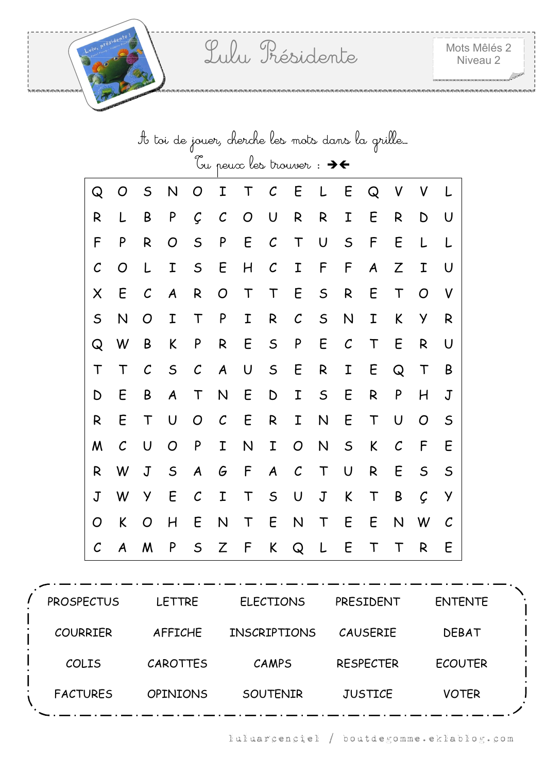|              | It toi de jouer, cherche les mots dans la grille… |               |             |               |                  |                                                 |               |               |             |                   |        |               |             |             |
|--------------|---------------------------------------------------|---------------|-------------|---------------|------------------|-------------------------------------------------|---------------|---------------|-------------|-------------------|--------|---------------|-------------|-------------|
|              |                                                   |               |             |               |                  | bu peux les trouver: $\rightarrow$ $\leftarrow$ |               |               |             |                   |        |               |             |             |
| Q            | O                                                 | $\mathsf S$   | N           | O             | Ι                | $\mathsf T$                                     | $\mathcal C$  | E             | L           | E                 | Q      | V             | V           |             |
| R            | L                                                 | B             | P           | Ç             | $\mathcal{C}$    | O                                               | U             | R             | R           | I                 | E      | R             | D           | U           |
| F            | P                                                 | R             | O           | $\mathsf S$   | P                | E                                               | $\mathcal{C}$ | T             | U           | $\mathsf S$       | F      | Ε             | L           | L           |
| $\mathcal C$ | O                                                 | L             | Ι           | $\mathsf S$   | E                | H                                               | $\mathcal C$  | I             | F           | F                 | A      | Z             | I           | U           |
| X            | E                                                 | $\mathcal{C}$ | A           | R             | O                | $\mathsf T$                                     | $\mathsf T$   | E             | $\mathsf S$ | R                 | E      | $\mathsf T$   | O           | V           |
| $\mathsf S$  | N                                                 | O             | Ι           | T             | ${\sf P}$        | Ι                                               | R             | $\mathcal C$  | $\mathsf S$ | N                 | Ι      | K             | У           | R           |
| Q            | W                                                 | B             | K           | P             | R                | E                                               | $\mathsf S$   | P             | E           | $\mathcal{C}_{0}$ | T      | E             | R           | U           |
| Τ            | T                                                 | $\mathcal{C}$ | $\mathsf S$ | $\mathcal{C}$ | $\boldsymbol{A}$ | U                                               | $\mathsf S$   | E             | R           | I                 | E      | Q             | $\mathsf T$ | B           |
| D            | E                                                 | Β             | A           | $\mathsf T$   | N                | E                                               | D             | Ι             | $\mathsf S$ | E                 | R      | P             | H           | $\mathsf J$ |
| R            | E                                                 | $\mathsf T$   | U           | O             | $\cal C$         | E                                               | R             | I             | N           | E                 | T      | U             | O           | $\mathsf S$ |
| M            | $\mathcal{C}$                                     | U             | O           | P             | I                | N                                               | Ι             | O             | N           | $\mathsf S$       | K      | $\mathcal{C}$ | F           | E           |
| R            | W                                                 | J             | $\mathsf S$ | A             | G                | F                                               | A             | $\mathcal{C}$ | $\top$      | U                 | R      | E             | $\mathsf S$ | $\mathsf S$ |
| $\mathsf J$  | W                                                 | У             | E           | $\mathcal{C}$ | I                | $\top$                                          | $\mathsf S$   | U             | $\mathbf J$ | K                 | $\top$ | B             | Ç           | У           |
| O            | K                                                 | O             | H           | E             | N                | $\mathsf T$                                     | E             | N             | $\mathsf T$ | E                 | E      | N             | W           | $\cal C$    |
| $\mathcal C$ | A                                                 | M             | P           | $\sf S$       | Ζ                | F                                               | K             | Q             | L           | E                 | Τ      | Т             | R           | E           |

| <b>PROSPECTUS</b> | <b>LETTRE</b>   | <b>ELECTIONS</b>    | PRESIDENT        | <b>ENTENTE</b> |  |
|-------------------|-----------------|---------------------|------------------|----------------|--|
| <b>COURRIER</b>   | <b>AFFICHE</b>  | <b>INSCRIPTIONS</b> | <b>CAUSERIE</b>  | <b>DEBAT</b>   |  |
| COLIS             | CAROTTES        | CAMPS               | <b>RESPECTER</b> | <b>ECOUTER</b> |  |
| <b>FACTURES</b>   | <b>OPINIONS</b> | SOUTENIR            | <b>JUSTICE</b>   | <b>VOTER</b>   |  |
|                   |                 |                     |                  |                |  |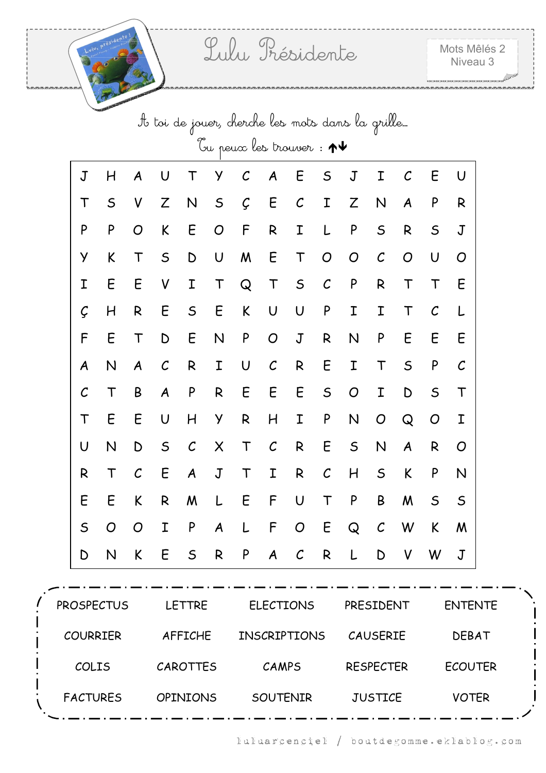|              | It toi de jouer, cherche les mots dans la grille |                   |               |                  |              |                                                  |               |               |               |             |               |              |               |              |
|--------------|--------------------------------------------------|-------------------|---------------|------------------|--------------|--------------------------------------------------|---------------|---------------|---------------|-------------|---------------|--------------|---------------|--------------|
|              |                                                  |                   |               |                  |              | Tu peux les trouver : $\bm{\uparrow \downarrow}$ |               |               |               |             |               |              |               |              |
| $\sf J$      | H                                                | A                 | U             | T                | У            | $\cal C$                                         | A             | E             | $\mathsf S$   | J           | Ι             | $\mathcal C$ | E             | U            |
| Τ            | $\mathsf S$                                      | V                 | Z             | N                | $\mathsf S$  | Ç                                                | E             | $\cal C$      | I             | Z           | N             | A            | P             | R            |
| P            | P                                                | O                 | K             | E                | O            | F                                                | R             | Ι             | L             | P           | $\mathsf S$   | R            | $\mathsf S$   | $\mathbf J$  |
| У            | K                                                | T                 | $\mathsf S$   | D                | $\mathsf U$  | M                                                | E             | T             | O             | O           | $\mathcal{C}$ | O            | U             | O            |
| Ι            | E                                                | E                 | V             | I                | $\top$       | $\mathsf Q$                                      | $\mathsf T$   | $\mathsf S$   | $\cal C$      | P           | $\mathsf{R}$  | $\mathsf T$  | $\mathsf T$   | E            |
| Ç            | H                                                | R                 | E             | $\mathsf S$      | E            | K                                                | U             | U             | P             | Ι           | I             | T            | $\mathcal{C}$ |              |
| F            | E                                                | T                 | D             | E                | N            | P                                                | ${\cal O}$    | $\mathbf J$   | R             | N           | P             | E            | E             | E            |
| A            | N                                                | A                 | $\mathcal{C}$ | R                | I            | U                                                | $\cal C$      | R             | E             | Ι           | T             | $\mathsf S$  | P             | $\mathcal C$ |
| $\mathcal C$ | Т                                                | B                 | A             | P                | $\mathsf{R}$ | E                                                | E             | E             | $\mathsf S$   | O           | I             | D            | $\mathsf S$   | T            |
| Τ            | Ε                                                | E                 | U             | Η                | У            | R                                                | H             | Ι             | P             | N           | O             | $\mathsf{Q}$ | O             | Ι            |
| U            | N                                                | D                 | $\mathsf S$   | $\mathcal{C}$    | X            | $\mathsf T$                                      | $\mathcal{C}$ | R             | E             | $\mathsf S$ | N             | A            | R             | O            |
| R            | T                                                | $\mathcal{C}_{0}$ | E             | $\boldsymbol{A}$ | $\mathbf J$  | T                                                | Ι             | R             | $\mathcal{C}$ | H           | $\mathsf S$   | K            | ${\sf P}$     | N            |
| Ε            | Ε                                                | K                 | R             | W                | L            | E                                                | F             | U             | T             | P           | B             | M            | $\mathsf S$   | $\mathsf S$  |
| $\mathsf S$  | O                                                | O                 | I             | P                | A            |                                                  | F             | O             | E             | Q           | $\mathcal{C}$ | W            | K             | M            |
| D            | N                                                | K                 | E             | $\mathsf S$      | R            | P                                                | A             | $\mathcal{C}$ | R             |             | D             | V            | W             | J            |

| <b>PROSPECTUS</b> | <b>LETTRE</b>   | <b>ELECTIONS</b>    | PRESIDENT        | <b>ENTENTE</b> |  |
|-------------------|-----------------|---------------------|------------------|----------------|--|
| <b>COURRIER</b>   | <b>AFFICHE</b>  | <b>INSCRIPTIONS</b> | <b>CAUSERIE</b>  | <b>DEBAT</b>   |  |
| COLIS             | CAROTTES        | CAMPS               | <b>RESPECTER</b> | <b>ECOUTER</b> |  |
| <b>FACTURES</b>   | <b>OPINIONS</b> | SOUTENIR            | <b>JUSTICE</b>   | <b>VOTER</b>   |  |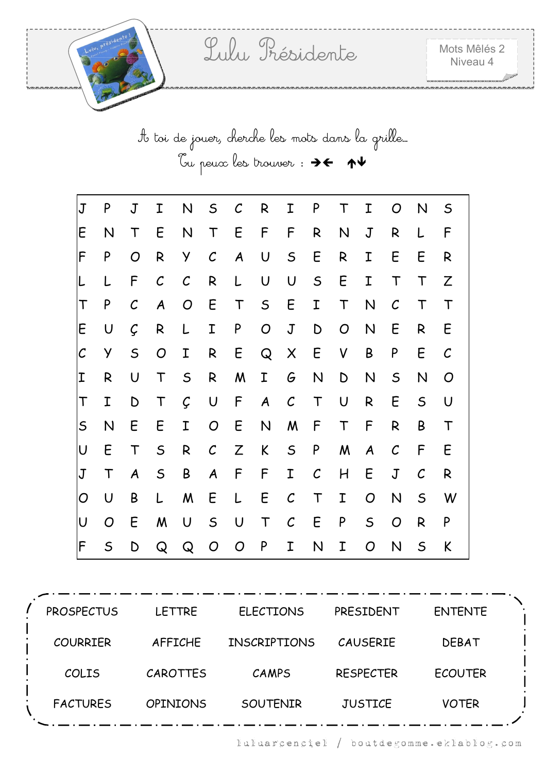A toi de jouer, cherche les mots dans la grille… Tu peux les trouver :

| J                       | P              | J             | Ι                 | N              | $\mathsf{S}$     | $\mathcal C$     | R                | I             | P            | Τ              | I                | O             | N            | $\mathsf S$       |
|-------------------------|----------------|---------------|-------------------|----------------|------------------|------------------|------------------|---------------|--------------|----------------|------------------|---------------|--------------|-------------------|
| E                       | N              | $\top$        | E                 | N              | $\mathsf{T}$     | E                | F                | F             | R            | N              | $\sf J$          | R             | L            | F                 |
| F                       | P              | O             | R                 | Y.             | $\mathcal C$     | $\boldsymbol{A}$ | U                | $\mathsf{S}$  | E            | R              | I                | E             | E            | R                 |
| L                       | L              | F             | $\mathcal{C}_{0}$ | $\mathcal C$   | R                | L                | U                | $\cup$        | $\mathsf S$  | E              | I                | $\top$        | $\mathsf T$  | Z                 |
| Τ                       | P              | $\mathcal{C}$ | $\boldsymbol{A}$  | $\overline{O}$ | E                | $\top$           | $\mathsf{S}$     | E             | I            | $\top$         | $\mathsf{N}$     | $\mathcal{C}$ | $\mathsf T$  | $\mathsf T$       |
| E                       | $\cup$         | Ç             | R                 | L              | I                | P                | O                | $\mathsf J$   | D            | $\overline{O}$ | N                | E             | R            | E                 |
| ${\cal C}$              | Y              | $\mathsf S$   | O                 | I              | R                | E                | Q                | X             | E            | V              | B                | P             | E            | $\mathcal{C}_{0}$ |
| Ι                       | R              | U             | $\top$            | $\mathsf{S}$   | R                | M                | $\mathbf I$      | G             | $\mathsf{N}$ | $\mathsf D$    | N                | $\mathsf S$   | N            | $\overline{O}$    |
| Τ                       | $\mathbf I$    | D             | $\top$            | $\mathcal{G}$  | $\bigcup$        | F                | $\boldsymbol{A}$ | $\mathcal{C}$ | $\top$       | $\cup$         | R                | E             | $\mathsf{S}$ | U                 |
| $\mathsf S$             | N              | E             | E                 | I              | $\overline{O}$   | E                | $\mathsf{N}$     | M             | F            | $\mathsf T$    | F                | R             | B            | $\mathsf T$       |
| $\overline{\mathsf{U}}$ | E              | $\mathsf T$   | $\mathsf S$       | R              | $\mathcal{C}$    | Z                | K                | $\mathsf{S}$  | P            | M              | $\boldsymbol{A}$ | $\mathcal C$  | F            | E                 |
| $\sf J$                 | $\mathsf T$    | A             | $\mathsf S$       | B              | $\boldsymbol{A}$ | F                | F                | I             | $\mathcal C$ | H              | E                | $\mathsf J$   | $\mathcal C$ | R                 |
| O                       | $\cup$         | B             | L                 | M              | E                | L                | E                | $\mathcal C$  | $\top$       | $\mathbf I$    | O                | N             | $\mathsf{S}$ | W                 |
| U                       | $\overline{O}$ | E             | M                 | $\cup$         | $\mathsf{S}$     | $\bigcup$        | $\mathsf T$      | $\mathcal C$  | E            | P              | $\mathsf{S}$     | O             | R            | P                 |
| F                       | $\mathsf S$    | D             | Q                 | Q              | O                | O                | P                | I             | N            | I              | O                | $\mathsf{N}$  | $\mathsf{S}$ | K                 |

| <b>PROSPECTUS</b> | <b>LETTRE</b>   | <b>ELECTIONS</b>    | PRESIDENT        | <b>ENTENTE</b> |  |
|-------------------|-----------------|---------------------|------------------|----------------|--|
| <b>COURRIER</b>   | <b>AFFICHE</b>  | <b>INSCRIPTIONS</b> | <b>CAUSERIE</b>  | <b>DEBAT</b>   |  |
| COLIS             | CAROTTES        | CAMPS               | <b>RESPECTER</b> | <b>ECOUTER</b> |  |
| <b>FACTURES</b>   | <b>OPINIONS</b> | <b>SOUTENIR</b>     | <b>JUSTICE</b>   | <b>VOTER</b>   |  |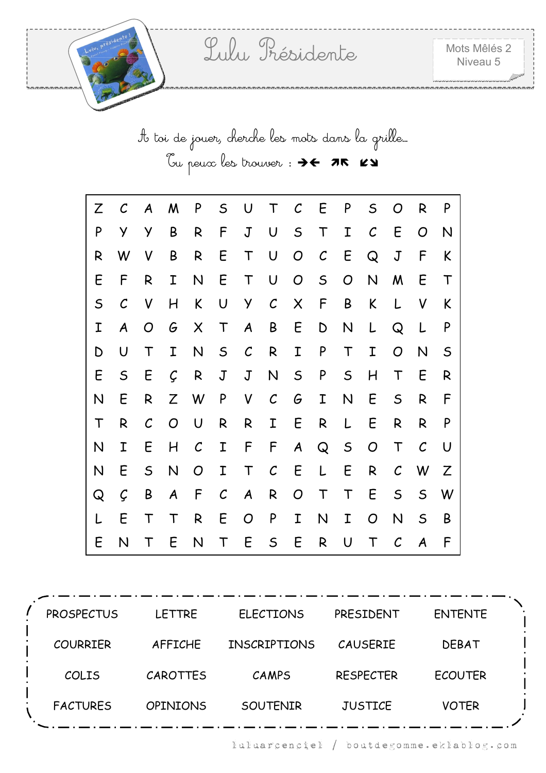A toi de jouer, cherche les mots dans la grille… Tu peux les trouver : > < 75 KY

| Ζ           | $\mathcal C$ | A            | M              | P             | $\mathsf S$       | U                | $\top$            | $\mathcal C$     | E                 | P           | $\mathsf S$       | O            | R             | P           |
|-------------|--------------|--------------|----------------|---------------|-------------------|------------------|-------------------|------------------|-------------------|-------------|-------------------|--------------|---------------|-------------|
| P           | У            | у            | B              | R             | F                 | $\mathsf J$      | $\cup$            | $\mathsf S$      | $\mathsf T$       | I           | $\mathcal{C}_{0}$ | E            | O             | N           |
| R           | W            | V            | B              | R             | E                 | $\top$           | U                 | $\overline{O}$   | $\mathcal{C}_{0}$ | E           | Q                 | $\mathbf J$  | F             | K           |
| E           | F            | R            | I              | $\mathsf{N}$  | E                 | T                | $\cup$            | $\overline{O}$   | $\mathsf{S}$      | O           | $\mathsf{N}$      | M            | E             | $\top$      |
| $\mathsf S$ | $\mathcal C$ | V            | H              | K             | U                 | Y                | $\mathcal{C}_{0}$ | $\times$         | F                 | B           | K                 | L            | V             | K           |
| Ι           | A            | O            | G              | $\times$      | $\top$            | $\boldsymbol{A}$ | B                 | E                | $\mathsf D$       | N           | L                 | Q            | L             | P           |
| D           | U            | $\mathsf T$  | I              | $\mathsf{N}$  | $\mathsf S$       | $\mathcal{C}$    | R                 | I                | P                 | $\top$      | I                 | O            | N             | $\mathsf S$ |
| E           | $\mathsf S$  | E            | Ç              | R             | $\mathsf J$       | $\mathsf J$      | $\mathsf{N}$      | $\mathsf S$      | P                 | $\mathsf S$ | H                 | Τ            | E             | R           |
| N           | E            | R            | Z              | W             | P                 | V                | $\mathcal{C}_{0}$ | G                | I                 | N           | E                 | $\mathsf S$  | R             | F           |
| $\mathsf T$ | R            | $\mathcal C$ | $\overline{O}$ | U             | R                 | R                | I                 | E                | R                 | L           | E                 | R            | R             | P           |
| N           | Ι            | E            | H              | $\mathcal{C}$ | I                 | F                | F                 | $\boldsymbol{A}$ | Q                 | $\mathsf S$ | $\overline{O}$    | Τ            | $\mathcal{C}$ | U           |
| N           | E            | $\mathsf{S}$ | $\mathsf{N}$   | O             | I                 | $\mathsf T$      | $\mathcal{C}_{0}$ | E                | L                 | E           | R                 | $\mathcal C$ | W             | Z           |
| Q           | Ç            | B            | A              | F             | $\mathcal{C}_{0}$ | $\boldsymbol{A}$ | R                 | O                | $\top$            | T           | E                 | $\mathsf S$  | $\mathsf{S}$  | W           |
| L           | E            | Τ            | T              | R             | E                 | $\overline{O}$   | P                 | I                | $\mathsf{N}$      | Ι           | O                 | N            | $\mathsf S$   | B           |
| E           | N            | Τ            | E              | N             | Τ                 | E                | $\mathsf S$       | E                | $\mathsf{R}$      | U           | T                 | $\mathcal C$ | A             | F           |

PROSPECTUS LETTRE ELECTIONS PRESIDENT ENTENTE COURRIER AFFICHE INSCRIPTIONS CAUSERIE DEBAT COLIS CAROTTES CAMPS RESPECTER ECOUTER FACTURES OPINIONS SOUTENIR JUSTICE VOTER